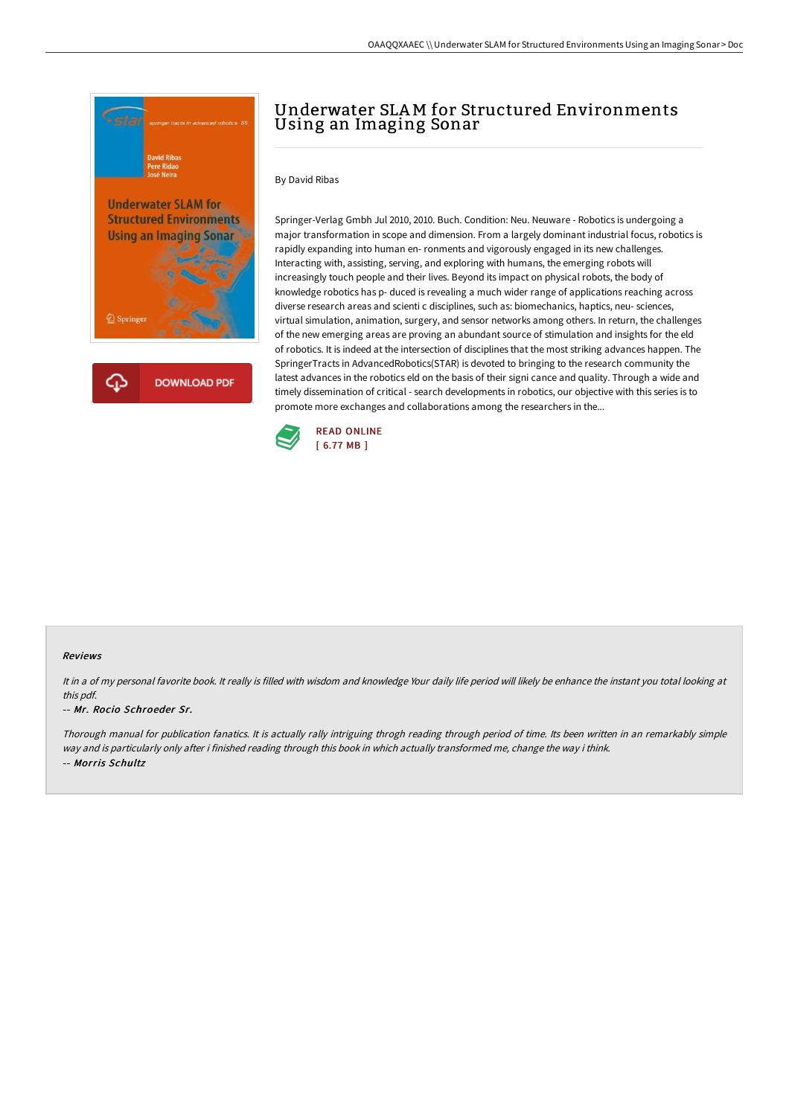

## Underwater SLAM for Structured Environments Using an Imaging Sonar

By David Ribas

Springer-Verlag Gmbh Jul 2010, 2010. Buch. Condition: Neu. Neuware - Robotics is undergoing a major transformation in scope and dimension. From a largely dominant industrial focus, robotics is rapidly expanding into human en- ronments and vigorously engaged in its new challenges. Interacting with, assisting, serving, and exploring with humans, the emerging robots will increasingly touch people and their lives. Beyond its impact on physical robots, the body of knowledge robotics has p- duced is revealing a much wider range of applications reaching across diverse research areas and scienti c disciplines, such as: biomechanics, haptics, neu- sciences, virtual simulation, animation, surgery, and sensor networks among others. In return, the challenges of the new emerging areas are proving an abundant source of stimulation and insights for the eld of robotics. It is indeed at the intersection of disciplines that the most striking advances happen. The SpringerTracts in AdvancedRobotics(STAR) is devoted to bringing to the research community the latest advances in the robotics eld on the basis of their signi cance and quality. Through a wide and timely dissemination of critical - search developments in robotics, our objective with this series is to promote more exchanges and collaborations among the researchers in the...



## Reviews

It in a of my personal favorite book. It really is filled with wisdom and knowledge Your daily life period will likely be enhance the instant you total looking at this pdf.

## -- Mr. Rocio Schroeder Sr.

Thorough manual for publication fanatics. It is actually rally intriguing throgh reading through period of time. Its been written in an remarkably simple way and is particularly only after i finished reading through this book in which actually transformed me, change the way i think. -- Morris Schultz